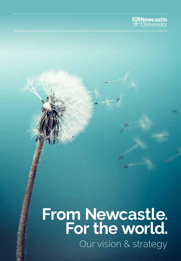

## Our vision & strategy **For the world. From Newcastle.**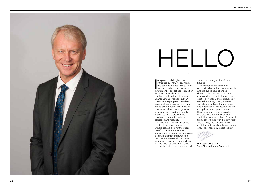

# HELLO

am proud and delighted to<br>
introduce our new Vision, which<br>
has been developed with our staff,<br>
students and external partners as<br>
a statement of our collective ambition am proud and delighted to introduce our new Vision, which has been developed with our staff, students and external partners as for Newcastle University.

When I took up the role of Vice-Chancellor and President in 2017, I met as many people as possible to understand our current strengths and to bring together new ideas on how we can develop and grow as an institution. I have been hugely impressed by the breadth and depth of our strengths in both education and research.

As one of the United Kingdom's great civic, research-intensive universities, we exist for the public benefit, to advance education, learning and research. Our new Vision is to build on this core purpose to become a more globally inclusive institution, providing new knowledge and creative solutions that make a positive impact on the economy and

society of our region, the UK and beyond.

The expectations placed on universities by students, governments and the public have changed dramatically in recent years. There is now a clear belief that universities exist to serve local and global society – whether through the graduates we educate or through our research and innovation. At Newcastle, we are exceptionally well placed to meet these changing expectations due to a proud heritage of innovation stretching back more than 180 years. I firmly believe that, with the right vision and strategy, we can enhance our contribution to tackling the numerous challenges faced by global society.



**Professor Chris Day** Vice-Chancellor and President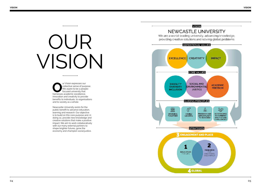# OUR VISION

**OUR CONCOUNTER 1999 VISION EXPRESSES OUR CONCOURT OF SAMPLE PRESSES ACCEPT**<br> **COURCE ACCEPT**<br> **COURCE ACCEPTE ACCEPT**<br> **COURCE ACCEPTE ACCEPT**<br> **COURCE ACCEPTE ACCEPT**<br> **COURCE ACCEPT** collective sense of purpose. We aspire to be a peoplefocused university that innovation and creativity to provide benefits to individuals, to organisations and to society as a whole.

Newcastle University exists for the public benefit to advance education, learning and research. Our objective is to build on this core purpose and, in doing so, provide new knowledge and creative solutions that make a positive impact. We aim to work collaboratively with our many external partners to shape brighter futures, grow the economy and champion social justice.

## **VISION** NEWCASTLE UNIVERSITY

We are a world-leading university, advancing knowledge, providing creative solutions and solving global problems

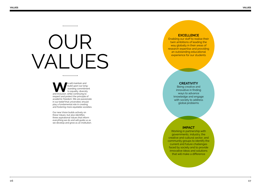# OUR VALUES

**WE** will maintain and build upon our long<br>tanding commitme<br>to equality, diversity<br>and inclusion, while continuing to build upon our longstanding commitment to equality, diversity respect and protect the principle of academic freedom. We are passionate in our belief that universities should play a fundamental role in creating and fostering more equitable societies.

Our new Vision builds actively on these Values, but also identifies three aspirational Values that inform everything we do and will guide us as we develop and grow as an institution.

## **EXCELLENCE**

Enabling our staff to realise their twin ambitions of leading the way globally in their areas of research expertise and providing an outstanding educational experience for our students

## **CREATIVITY**

Being creative and innovative in finding ways to advance knowledge and engage with society to address global problems

### **IMPACT**

Working in partnership with governments, industry, the creative and cultural sector, and community groups to identify the current and future challenges faced by society and to provide innovative ideas and solutions that will make a difference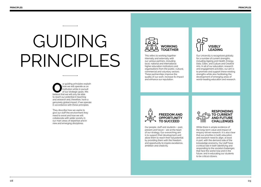## GUIDING This refers to working together<br>internally and externally with<br>local, national and internally with<br>local, national and internally with<br>local, national and internaling<br>local, national and international

**O**ur guiding principles explain<br>
how we will operate as an<br>
institution while in pursuit<br>
of our strategic goals. We<br>
believe that we will only be able how we will operate as an institution while in pursuit of our strategic goals. We to reach our potential in teaching and research and, therefore, have a genuinely global impact, if we operate in accordance with these principles.

They describe how we aspire to give our staff the environment they need to excel and how we will collaborate with wider society in our main areas of expertise and in new and emerging disciplines.



internally and externally with our various partners, including local, national and international higher education institutions and organisations from the public, cultural, commercial and voluntary sectors. These partnerships improve the quality of our work, increase its impact and enhance our reputation.



Our University is recognised globally for a number of current strengths, including Ageing and Health, Energy, Data, Cities, and Culture and Creative Arts. In all of our education, research and engagement activities, our aim is to promote and support these existing strengths while also facilitating the development of emerging areas of world-leading education and research.



Our people, staff and students – past, present and future – are at the heart of our strategy. Our overarching aim is to support their development and allow them to reach their full potential by providing them with the freedom and opportunity to inspire excellence, ambition and creativity.



While there is ample evidence of the long-term value and impact of enquiry-driven research, it is also clear that our priorities in both education and research need to align, at least in part, with the demand side of the knowledge economy. Our staff have a critical role in both identifying and responding to the societal challenges that face the world now and in the future, and in educating our students to be critical citizens.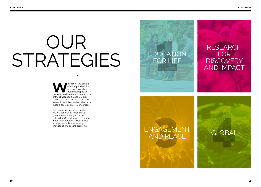## OUR STRATEGIES

exist for the benefit<br>
of society and our four<br>
core strategies have<br>
been developed to<br>
demonstrate how we will tackle some of society and our four core strategies have been developed to of the challenges it faces. We are, of course, a first-class teaching and research institution, and excellence in these areas is central to our purpose.

But we cannot operate in isolation. We will continue to reach out to governments and organisations both in the UK and around the world where collaboration is likely to play an important role in advancing knowledge and solving problems.

## RESEARC<br>DUCATION FOR<br>FOR LIFE DISCOVER<br>AND IMPA GAGEMENT<br>VD PLACE<br>CLOBAL EDUCATION FOR LIFE RESEARCH FOR **FOR DISCOVERY** AND IMPACT ENGAGEMENT AND PLACE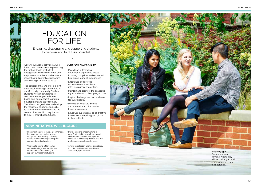12 M

## EDUCATION FOR LIFE

Engaging, challenging and supporting students to discover and fulfil their potential

#### All our educational activities will be based on a commitment to promoting the highest levels of student engagement. We will challenge and empower our students to discover and reach their full potential, supporting and working with them to do so.

The education that we offer is a joint endeavour involving all members of our University community. Staff and students work in partnership to co-create learning experiences based on a commitment to mutual development and self-discovery. This allows our graduates to develop the resilience, attributes and skills to transform their own lives and the communities in which they live, and to excel in their chosen futures.

## **OUR SPECIFIC AIMS ARE TO:**

- Provide an outstanding educational experience rooted in strong disciplines and enhanced by a broad range of experiences.
- Encourage and provide opportunities for multi- and inter-disciplinary encounters.
- Maintain and promote the academic rigour and stretch of our programmes.
- Inspire, challenge, support and care for our students.
- Provide an inclusive, diverse and international collaborative learning community.
- Empower our students to be creative, innovative, enterprising and global in their outlook.

## **NE W INITIATIVES WILL INCLUDE:**

- Implementing our technology-enhanced learning roadmap so that we are recognised as a leading university for the use of technology to support campus-based education.
	-
- Working to create a Newcastle Doctoral College as a world-class centre for research training to support our research students.
- new Graduate Framework to support and prepare students to shape the societies in which they will live and the professions they choose to enter.

• Developing and implementing a

• Aiming to establish an inter-disciplinary school to facilitate multi- and inter disciplinary opportunities.



### Our students on campus, where they will be challenged and empowered to reach

their potential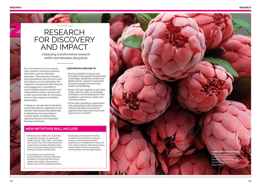2

## RESEARCH FOR DISCOVERY AND IMPACT

Catalysing transformative research within and between disciplines

Our commitment is to be a worldclass, research-intensive university that builds upon its distinctive attributes. These features include a broad disciplinary base but at a scale that allows us to act cohesively: the integration of education with research and engagement, a portfolio of world-leading research clusters and independent scholars, the provision of real-world test beds for innovation, and our deep regional and global partnerships.

In doing so, we will help to transform society through the application of our research and will provide leadership in identifying and responding to societal needs, including those addressed by the UN Sustainable Development Goals.

### **OUR SPECIFIC AIMS ARE TO:**

- Nurture excellent research and innovation that expands fundamental knowledge, addresses societal and global needs, supports sustainable economic growth and promotes health and wellbeing.
- Equip staff and students at all career stages with the skills to contribute to research and development in the academic, commercial, public and voluntary sectors.
- Foster inter-disciplinary approaches and partnerships with businesses, cultural industries and external agencies that extend the reach and impact of our research.

## **NE W INITIATIVES WILL INCLUDE:**

• Enhancing the visibility of our globally recognised strengths in Ageing and Health, Energy, Data, Cities, and Culture and Creative Arts. We will promote and support these existing strengths while also nurturing emerging areas of worldleading education and research.

• Developing a Newcastle University academic track scheme to enhance research and development skills – expanding our complement of early and mid-career academic staff and providing opportunities to involve researchers working within external organisations.

Consolidating our portfolio into multi-disciplinary Centres of Research Excellence, recognising that diverse collaborative teams are required to deliver many of the greatest advances.

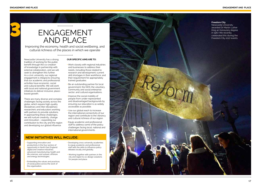3

## ENGAGEMENT AND PLACE

Improving the economy, health and social wellbeing, and cultural richness of the places in which we operate

Newcastle University has a strong tradition of working for the public benefit through the co-creation of knowledge in partnership with external collaborators, and we will seek to strengthen this further. As a civic university, our regional engagement is integral to ensuring that our academic and professional activities have economic, social and cultural benefits. We will work with local and national government initiatives to deliver inclusive, placebased growth.

There are many diverse and complex challenges facing society across the globe, which require high-quality disciplinary and inter-disciplinary researchers and educators working with partners to provide solutions. In approaching these challenges, we will nurture creativity, change and innovation – expanding our contribution to the city and the region and developing our global influence.

### **OUR SPECIFIC AIMS ARE TO:**

- Work closely with regional industries and businesses to address their needs, including those related to: research and development; current skill shortages in their workforce; and their requirement for appropriately trained graduates.
- Be an outstanding partner for local government; the NHS; the voluntary, community and social enterprise sector; and cultural organisations.
- Improve the social mobility of people from under-represented and disadvantaged backgrounds by ensuring our education is as widely accessible as possible.
- Use our global reach to increase the international connectivity of our region and contribute to the vibrancy and cultural richness of our region.
- Equip academic and professional staff to address some of the policy challenges facing local, national and international governments.

## **NE W INITIATIVES WILL INCLUDE:**

Supporting innovation and productivity in the four sectors of opportunity in North East England: digital and creative industries; advanced manufacturing; health and life sciences; and subsea, offshore and energy technologies.

• Embedding the values and practices of social justice across the work of the organisation.

• Developing cross-university academies to equip academic and professional staff with the skills to influence policy debates locally and globally.

• Working together with partners in the city and region to co-design solutions for people and place.



### **Freedom City**

Newcastle University awarded Dr Martin Luther King an honourary degree in 1967. We recently celebrated this during the Freedom City 2017 events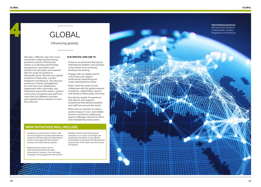4

**International presence**  We have four locations

## GLOBAL

## Influencing globally

We take a different view from many universities, believing that having presence outside of Newcastle allows us to develop partnerships, perspectives, innovations and solutions for education and research that we could not achieve in Newcastle alone. We have four global locations in Newcastle, London, Singapore and Malaysia. This physical presence is further strengthened by more than 200 collaborative agreements with universities and institutions around the world, a diverse community of students and staff from more than 120 different countries and a global alumni network of more than 200,000.

## **OUR SPECIFIC AIMS ARE TO:**

- Foster an environment that places international ambition and activities in the centre of our everyday thinking and working.
- Engage with our global alumni community and support professional networking and career development events.
- Build, meet the needs of and collaborate with the global network of partners, stakeholders, alumni and friends of Newcastle University.
- Provide the quality of experience that attracts and supports exceptional international students and staff from around the world.
- Work with our partners to make a positive impact in low- and middleincome countries by addressing 'grand challenges' relevant to them and championing social justice.

## **NE W INITIATIVES WILL INCLUDE:**

• Creating an environment in which staff are encouraged to develop international research and educational collaborations, and to encourage staff and student mobility and international outlook.

networks in our areas of strength and leading the formation of new global partnerships to promote the international connectivity of the North and North East of England.

• Maximising the impact of our international presence through investment in research, the exchange of people and engagement with alumni.



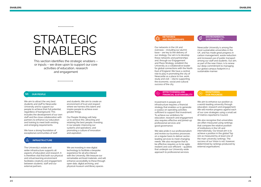## STRATEGIC **ENABLERS**

This section identifies the strategic enablers – or inputs – we draw upon to support our core activities of education, research and engagement

#### $RQR$ **OUR PEOPLE**

We aim to attract the very best students and staff to Newcastle University and to support our people to achieve their full potential, regardless of background. This includes the development of our own staff and the close collaboration with partners to enhance our education and training to meet both existing and emerging requirements.

We have a strong foundation of exceptional communities of staff

#### **INFRASTRUCTURE**

The University's estate and wider infrastructure supports all aspects of education and research. It is therefore vital that both our physical and virtual learning environment facilitates creativity and engagement between students, staff and our external partners.

environment of trust and respect where we harness this talent and inspire people to achieve even greater things.

and students. We aim to create an

Our People Strategy will help us to achieve this: attracting and retaining the best people; investing in our people; improving our systems and operations; and promoting a culture of innovation and aspiration.

We are investing in new digital technology to facilitate a bespoke experience for all who interact with the University. We treasure our remarkable archived materials, and will enhance accessibility to these through open data, digital archiving, and physical museum and library spaces.

#### **NETWORKS AND PARTNERSHIPS**

Our networks in the UK and overseas – including our alumni base – are key to the delivery of our strategy. Our aim is to develop these networks and partnerships and, through our Engagement and Place Strategy, establish the University as a collaborative leader for global connections with the North East of England. We have a central role to play in promoting the city of Newcastle as a place to live, work, study and visit – vital to supporting the economic, social and cultural success of the city.

#### **ENVIRONMENTAL**  ര **SUSTAINABILITY**

Newcastle University is among the most sustainable universities in the UK, and has made great progress in carbon management, waste reduction and increased use of public transport among our staff and students. Our aim, as part of the new Vision, is to renew our deep commitment to managing our global campus footprint in a sustainable manner.



## **MONITORING OUR PROGRESS**

Investment in people and infrastructure requires a financial strategy that enables us to generate a surplus on operating activities sufficient to support that investment. To achieve our ambitions for education, research and engagement also requires effective and joined-up professional services and good governance.

We take pride in our professionalism and review our business processes on a regular basis to deliver sectorleading services to meet changing needs. We also recognise that to be effective requires us to be agile, resilient and cost-efficient – qualities that underpin our University-wide approach to professional services.

We aim to enhance our position as a world-leading university through education, research and engagement. We will monitor progress against each of our core strategies using a small set of metrics reported to Council.

We also recognise that universities are often measured using rankings that compare the relative position of institutions in the UK and internationally. Our broad aim is to achieve a position in the global Top 100 as measured by at least one of the main university rankings. The success of our Vision is not, however, determined by rankings produced by external organisations.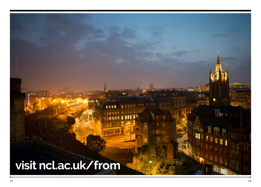## **visit [ncl.ac.uk/from](https://www.ncl.ac.uk/from)**

....

т

₩

h.